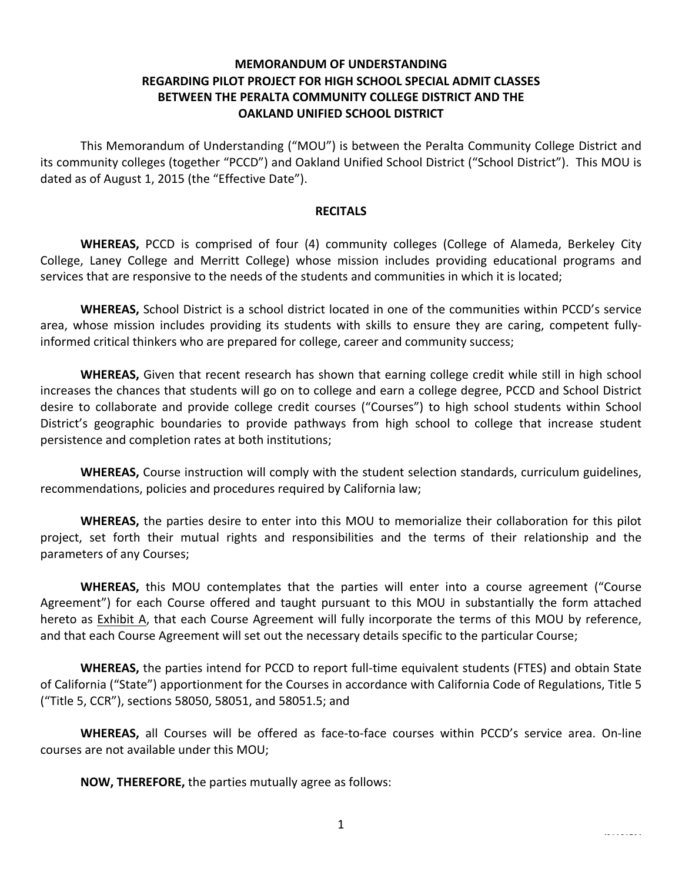# **MEMORANDUM OF UNDERSTANDING REGARDING PILOT PROJECT FOR HIGH SCHOOL SPECIAL ADMIT CLASSES BETWEEN THE PERALTA COMMUNITY COLLEGE DISTRICT AND THE OAKLAND UNIFIED SCHOOL DISTRICT**

This Memorandum of Understanding ("MOU") is between the Peralta Community College District and its community colleges (together "PCCD") and Oakland Unified School District ("School District"). This MOU is dated as of August 1, 2015 (the "Effective Date").

#### **RECITALS**

**WHEREAS,** PCCD is comprised of four (4) community colleges (College of Alameda, Berkeley City College, Laney College and Merritt College) whose mission includes providing educational programs and services that are responsive to the needs of the students and communities in which it is located;

**WHEREAS,** School District is a school district located in one of the communities within PCCD's service area, whose mission includes providing its students with skills to ensure they are caring, competent fullyinformed critical thinkers who are prepared for college, career and community success;

**WHEREAS,** Given that recent research has shown that earning college credit while still in high school increases the chances that students will go on to college and earn a college degree, PCCD and School District desire to collaborate and provide college credit courses ("Courses") to high school students within School District's geographic boundaries to provide pathways from high school to college that increase student persistence and completion rates at both institutions;

**WHEREAS,** Course instruction will comply with the student selection standards, curriculum guidelines, recommendations, policies and procedures required by California law;

**WHEREAS,** the parties desire to enter into this MOU to memorialize their collaboration for this pilot project, set forth their mutual rights and responsibilities and the terms of their relationship and the parameters of any Courses;

**WHEREAS,** this MOU contemplates that the parties will enter into a course agreement ("Course Agreement") for each Course offered and taught pursuant to this MOU in substantially the form attached hereto as Exhibit A, that each Course Agreement will fully incorporate the terms of this MOU by reference, and that each Course Agreement will set out the necessary details specific to the particular Course;

**WHEREAS,** the parties intend for PCCD to report full-time equivalent students (FTES) and obtain State of California ("State") apportionment for the Courses in accordance with California Code of Regulations, Title 5 ("Title 5, CCR"), sections 58050, 58051, and 58051.5; and

WHEREAS, all Courses will be offered as face-to-face courses within PCCD's service area. On-line courses are not available under this MOU;

**NOW, THEREFORE,** the parties mutually agree as follows: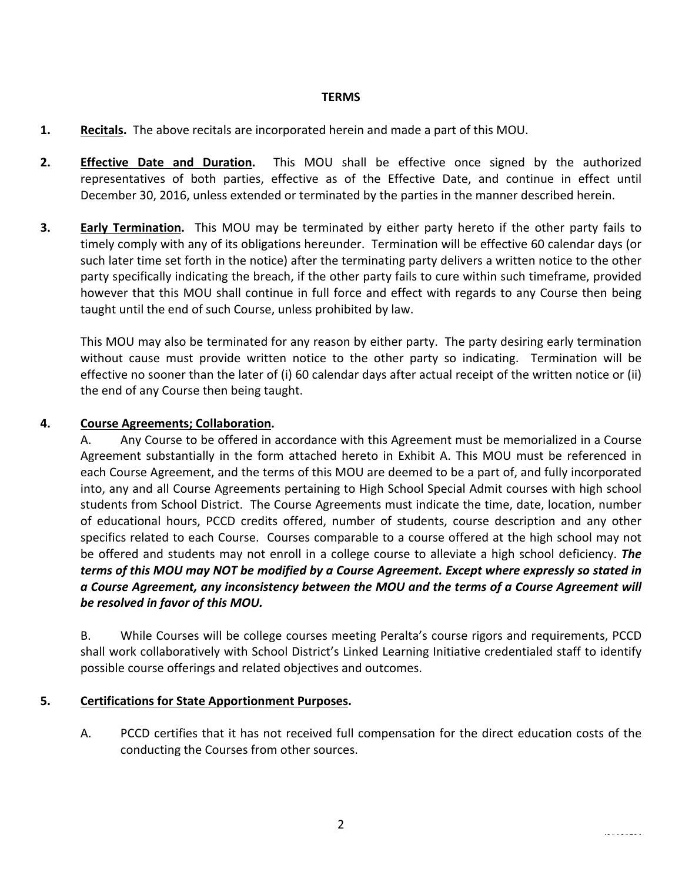#### **TERMS**

- **1. Recitals.** The above recitals are incorporated herein and made a part of this MOU.
- **2. Effective Date and Duration.** This MOU shall be effective once signed by the authorized representatives of both parties, effective as of the Effective Date, and continue in effect until December 30, 2016, unless extended or terminated by the parties in the manner described herein.
- **3. Early Termination.** This MOU may be terminated by either party hereto if the other party fails to timely comply with any of its obligations hereunder. Termination will be effective 60 calendar days (or such later time set forth in the notice) after the terminating party delivers a written notice to the other party specifically indicating the breach, if the other party fails to cure within such timeframe, provided however that this MOU shall continue in full force and effect with regards to any Course then being taught until the end of such Course, unless prohibited by law.

This MOU may also be terminated for any reason by either party. The party desiring early termination without cause must provide written notice to the other party so indicating. Termination will be effective no sooner than the later of (i) 60 calendar days after actual receipt of the written notice or (ii) the end of any Course then being taught.

# **4. Course Agreements; Collaboration.**

A. Any Course to be offered in accordance with this Agreement must be memorialized in a Course Agreement substantially in the form attached hereto in Exhibit A. This MOU must be referenced in each Course Agreement, and the terms of this MOU are deemed to be a part of, and fully incorporated into, any and all Course Agreements pertaining to High School Special Admit courses with high school students from School District. The Course Agreements must indicate the time, date, location, number of educational hours, PCCD credits offered, number of students, course description and any other specifics related to each Course. Courses comparable to a course offered at the high school may not be offered and students may not enroll in a college course to alleviate a high school deficiency. **The** *terms* of this MOU may NOT be modified by a Course Agreement. Except where expressly so stated in *a Course Agreement, any inconsistency between the MOU and the terms of a Course Agreement will be resolved in favor of this MOU.* 

B. While Courses will be college courses meeting Peralta's course rigors and requirements, PCCD shall work collaboratively with School District's Linked Learning Initiative credentialed staff to identify possible course offerings and related objectives and outcomes.

# **5. Certifications for State Apportionment Purposes.**

A. PCCD certifies that it has not received full compensation for the direct education costs of the conducting the Courses from other sources.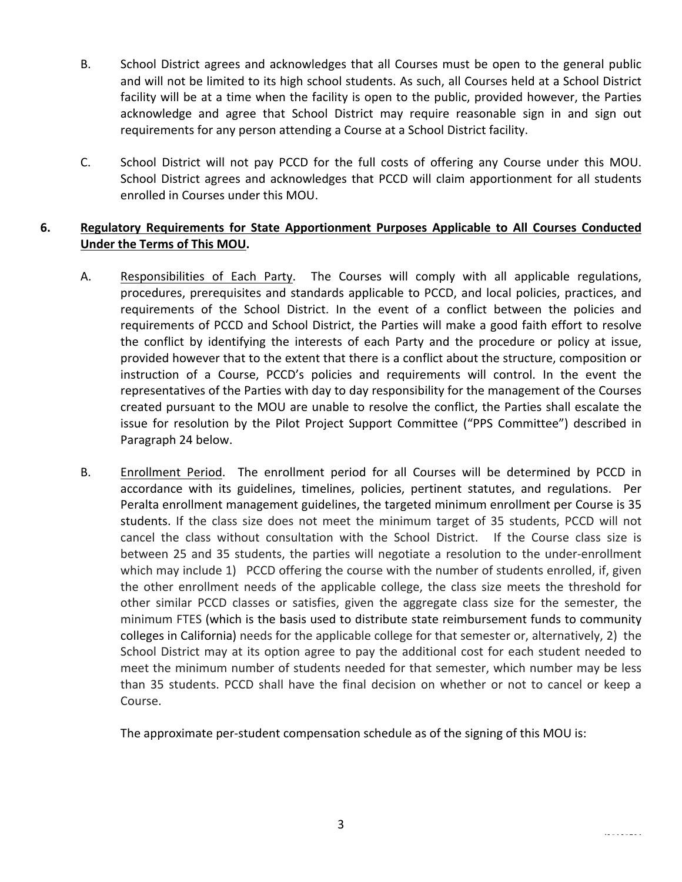- B. School District agrees and acknowledges that all Courses must be open to the general public and will not be limited to its high school students. As such, all Courses held at a School District facility will be at a time when the facility is open to the public, provided however, the Parties acknowledge and agree that School District may require reasonable sign in and sign out requirements for any person attending a Course at a School District facility.
- C. School District will not pay PCCD for the full costs of offering any Course under this MOU. School District agrees and acknowledges that PCCD will claim apportionment for all students enrolled in Courses under this MOU.

# **6.** Regulatory Requirements for State Apportionment Purposes Applicable to All Courses Conducted Under the Terms of This MOU.

- A. Responsibilities of Each Party. The Courses will comply with all applicable regulations, procedures, prerequisites and standards applicable to PCCD, and local policies, practices, and requirements of the School District. In the event of a conflict between the policies and requirements of PCCD and School District, the Parties will make a good faith effort to resolve the conflict by identifying the interests of each Party and the procedure or policy at issue, provided however that to the extent that there is a conflict about the structure, composition or instruction of a Course, PCCD's policies and requirements will control. In the event the representatives of the Parties with day to day responsibility for the management of the Courses created pursuant to the MOU are unable to resolve the conflict, the Parties shall escalate the issue for resolution by the Pilot Project Support Committee ("PPS Committee") described in Paragraph 24 below.
- B. Enrollment Period. The enrollment period for all Courses will be determined by PCCD in accordance with its guidelines, timelines, policies, pertinent statutes, and regulations. Per Peralta enrollment management guidelines, the targeted minimum enrollment per Course is 35 students. If the class size does not meet the minimum target of 35 students, PCCD will not cancel the class without consultation with the School District. If the Course class size is between 25 and 35 students, the parties will negotiate a resolution to the under-enrollment which may include 1) PCCD offering the course with the number of students enrolled, if, given the other enrollment needs of the applicable college, the class size meets the threshold for other similar PCCD classes or satisfies, given the aggregate class size for the semester, the minimum FTES (which is the basis used to distribute state reimbursement funds to community colleges in California) needs for the applicable college for that semester or, alternatively, 2) the School District may at its option agree to pay the additional cost for each student needed to meet the minimum number of students needed for that semester, which number may be less than 35 students. PCCD shall have the final decision on whether or not to cancel or keep a Course.

The approximate per-student compensation schedule as of the signing of this MOU is: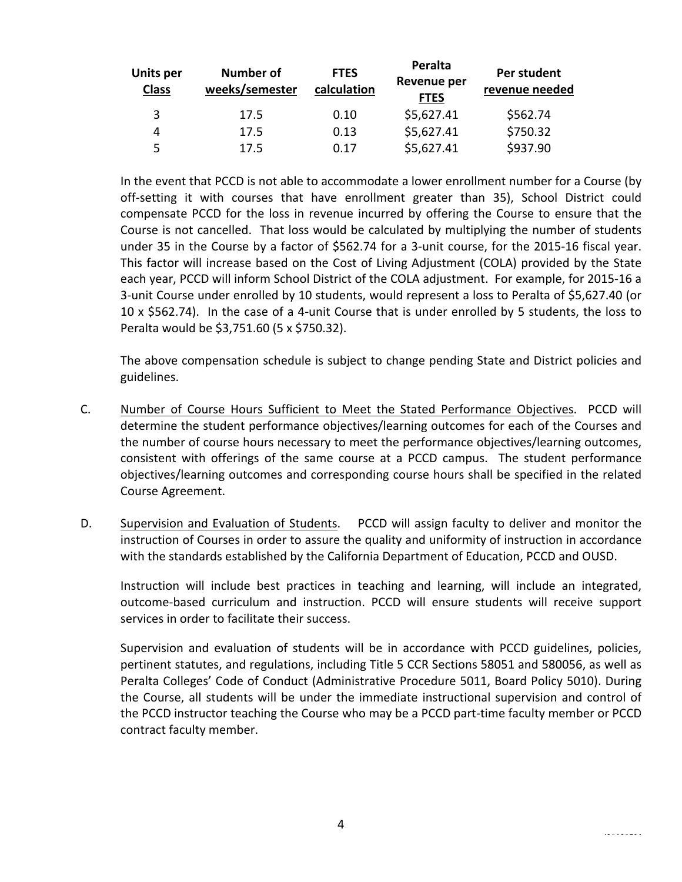| <b>Units per</b><br><b>Class</b> | <b>Number of</b><br>weeks/semester | <b>FTES</b><br>calculation | Peralta<br><b>Revenue per</b><br><b>FTES</b> | Per student<br>revenue needed |
|----------------------------------|------------------------------------|----------------------------|----------------------------------------------|-------------------------------|
| 3                                | 17.5                               | 0.10                       | \$5,627.41                                   | \$562.74                      |
| 4                                | 17.5                               | 0.13                       | \$5,627.41                                   | \$750.32                      |
| 5                                | 17.5                               | 0.17                       | \$5,627.41                                   | \$937.90                      |

In the event that PCCD is not able to accommodate a lower enrollment number for a Course (by off-setting it with courses that have enrollment greater than 35), School District could compensate PCCD for the loss in revenue incurred by offering the Course to ensure that the Course is not cancelled. That loss would be calculated by multiplying the number of students under 35 in the Course by a factor of \$562.74 for a 3-unit course, for the 2015-16 fiscal year. This factor will increase based on the Cost of Living Adjustment (COLA) provided by the State each year, PCCD will inform School District of the COLA adjustment. For example, for 2015-16 a 3-unit Course under enrolled by 10 students, would represent a loss to Peralta of \$5,627.40 (or 10 x \$562.74). In the case of a 4-unit Course that is under enrolled by 5 students, the loss to Peralta would be \$3,751.60 (5 x \$750.32).

The above compensation schedule is subject to change pending State and District policies and guidelines.

- C. Number of Course Hours Sufficient to Meet the Stated Performance Objectives. PCCD will determine the student performance objectives/learning outcomes for each of the Courses and the number of course hours necessary to meet the performance objectives/learning outcomes, consistent with offerings of the same course at a PCCD campus. The student performance objectives/learning outcomes and corresponding course hours shall be specified in the related Course Agreement.
- D. Supervision and Evaluation of Students. PCCD will assign faculty to deliver and monitor the instruction of Courses in order to assure the quality and uniformity of instruction in accordance with the standards established by the California Department of Education, PCCD and OUSD.

Instruction will include best practices in teaching and learning, will include an integrated, outcome-based curriculum and instruction. PCCD will ensure students will receive support services in order to facilitate their success.

Supervision and evaluation of students will be in accordance with PCCD guidelines, policies, pertinent statutes, and regulations, including Title 5 CCR Sections 58051 and 580056, as well as Peralta Colleges' Code of Conduct (Administrative Procedure 5011, Board Policy 5010). During the Course, all students will be under the immediate instructional supervision and control of the PCCD instructor teaching the Course who may be a PCCD part-time faculty member or PCCD contract faculty member.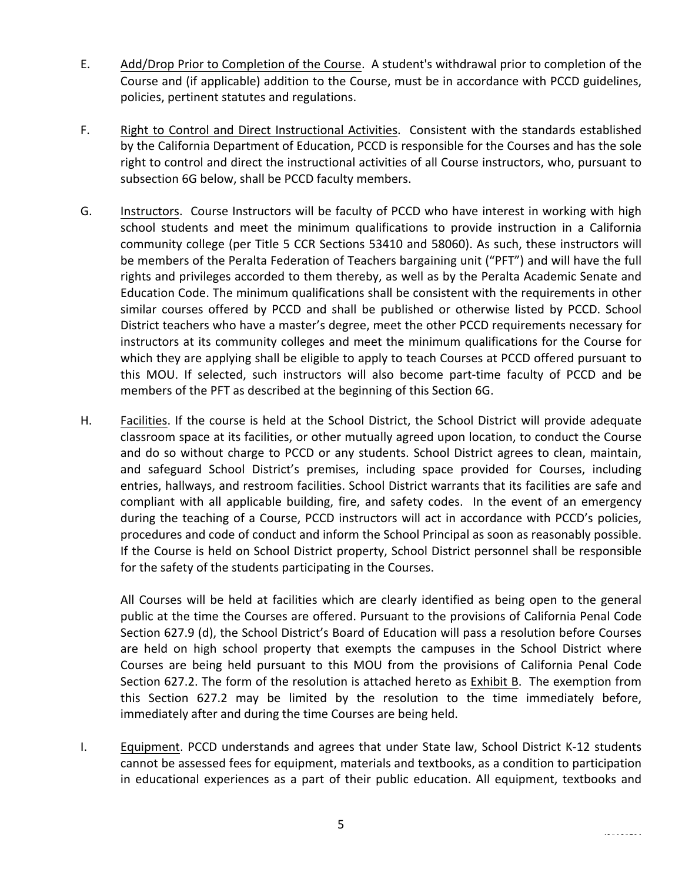- E. Add/Drop Prior to Completion of the Course. A student's withdrawal prior to completion of the Course and (if applicable) addition to the Course, must be in accordance with PCCD guidelines, policies, pertinent statutes and regulations.
- F. Right to Control and Direct Instructional Activities. Consistent with the standards established by the California Department of Education, PCCD is responsible for the Courses and has the sole right to control and direct the instructional activities of all Course instructors, who, pursuant to subsection 6G below, shall be PCCD faculty members.
- G. Instructors. Course Instructors will be faculty of PCCD who have interest in working with high school students and meet the minimum qualifications to provide instruction in a California community college (per Title 5 CCR Sections 53410 and 58060). As such, these instructors will be members of the Peralta Federation of Teachers bargaining unit ("PFT") and will have the full rights and privileges accorded to them thereby, as well as by the Peralta Academic Senate and Education Code. The minimum qualifications shall be consistent with the requirements in other similar courses offered by PCCD and shall be published or otherwise listed by PCCD. School District teachers who have a master's degree, meet the other PCCD requirements necessary for instructors at its community colleges and meet the minimum qualifications for the Course for which they are applying shall be eligible to apply to teach Courses at PCCD offered pursuant to this MOU. If selected, such instructors will also become part-time faculty of PCCD and be members of the PFT as described at the beginning of this Section 6G.
- H. Facilities. If the course is held at the School District, the School District will provide adequate classroom space at its facilities, or other mutually agreed upon location, to conduct the Course and do so without charge to PCCD or any students. School District agrees to clean, maintain, and safeguard School District's premises, including space provided for Courses, including entries, hallways, and restroom facilities. School District warrants that its facilities are safe and compliant with all applicable building, fire, and safety codes. In the event of an emergency during the teaching of a Course, PCCD instructors will act in accordance with PCCD's policies, procedures and code of conduct and inform the School Principal as soon as reasonably possible. If the Course is held on School District property, School District personnel shall be responsible for the safety of the students participating in the Courses.

All Courses will be held at facilities which are clearly identified as being open to the general public at the time the Courses are offered. Pursuant to the provisions of California Penal Code Section 627.9 (d), the School District's Board of Education will pass a resolution before Courses are held on high school property that exempts the campuses in the School District where Courses are being held pursuant to this MOU from the provisions of California Penal Code Section 627.2. The form of the resolution is attached hereto as Exhibit B. The exemption from this Section 627.2 may be limited by the resolution to the time immediately before, immediately after and during the time Courses are being held.

I. Equipment. PCCD understands and agrees that under State law, School District K-12 students cannot be assessed fees for equipment, materials and textbooks, as a condition to participation in educational experiences as a part of their public education. All equipment, textbooks and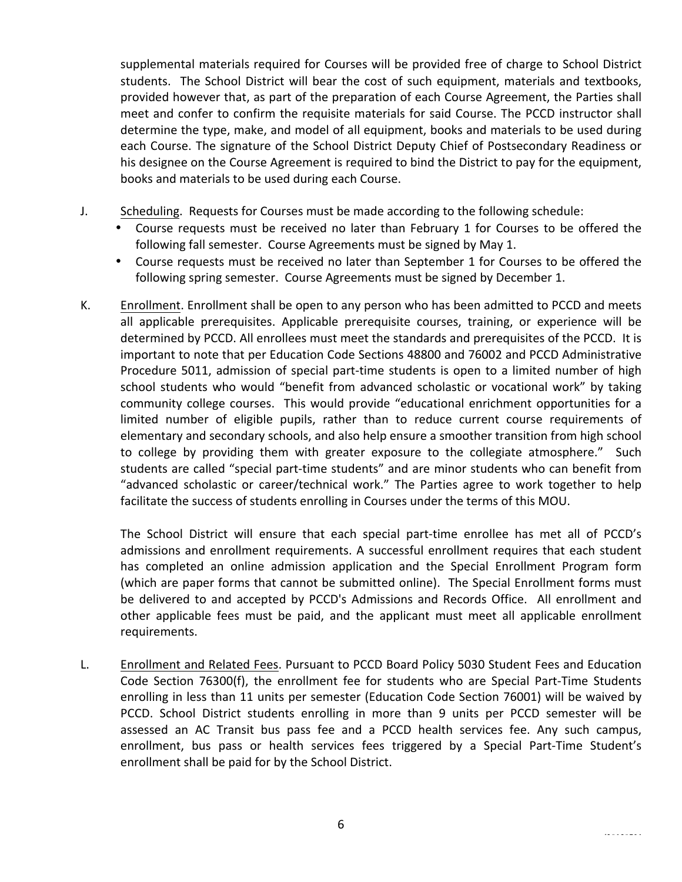supplemental materials required for Courses will be provided free of charge to School District students. The School District will bear the cost of such equipment, materials and textbooks, provided however that, as part of the preparation of each Course Agreement, the Parties shall meet and confer to confirm the requisite materials for said Course. The PCCD instructor shall determine the type, make, and model of all equipment, books and materials to be used during each Course. The signature of the School District Deputy Chief of Postsecondary Readiness or his designee on the Course Agreement is required to bind the District to pay for the equipment, books and materials to be used during each Course.

- J. Scheduling. Requests for Courses must be made according to the following schedule:
	- Course requests must be received no later than February 1 for Courses to be offered the following fall semester. Course Agreements must be signed by May 1.
	- Course requests must be received no later than September 1 for Courses to be offered the following spring semester. Course Agreements must be signed by December 1.
- K. Enrollment. Enrollment shall be open to any person who has been admitted to PCCD and meets all applicable prerequisites. Applicable prerequisite courses, training, or experience will be determined by PCCD. All enrollees must meet the standards and prerequisites of the PCCD. It is important to note that per Education Code Sections 48800 and 76002 and PCCD Administrative Procedure 5011, admission of special part-time students is open to a limited number of high school students who would "benefit from advanced scholastic or vocational work" by taking community college courses. This would provide "educational enrichment opportunities for a limited number of eligible pupils, rather than to reduce current course requirements of elementary and secondary schools, and also help ensure a smoother transition from high school to college by providing them with greater exposure to the collegiate atmosphere." Such students are called "special part-time students" and are minor students who can benefit from "advanced scholastic or career/technical work." The Parties agree to work together to help facilitate the success of students enrolling in Courses under the terms of this MOU.

The School District will ensure that each special part-time enrollee has met all of PCCD's admissions and enrollment requirements. A successful enrollment requires that each student has completed an online admission application and the Special Enrollment Program form (which are paper forms that cannot be submitted online). The Special Enrollment forms must be delivered to and accepted by PCCD's Admissions and Records Office. All enrollment and other applicable fees must be paid, and the applicant must meet all applicable enrollment requirements.

L. Enrollment and Related Fees. Pursuant to PCCD Board Policy 5030 Student Fees and Education Code Section 76300(f), the enrollment fee for students who are Special Part-Time Students enrolling in less than 11 units per semester (Education Code Section 76001) will be waived by PCCD. School District students enrolling in more than 9 units per PCCD semester will be assessed an AC Transit bus pass fee and a PCCD health services fee. Any such campus, enrollment, bus pass or health services fees triggered by a Special Part-Time Student's enrollment shall be paid for by the School District.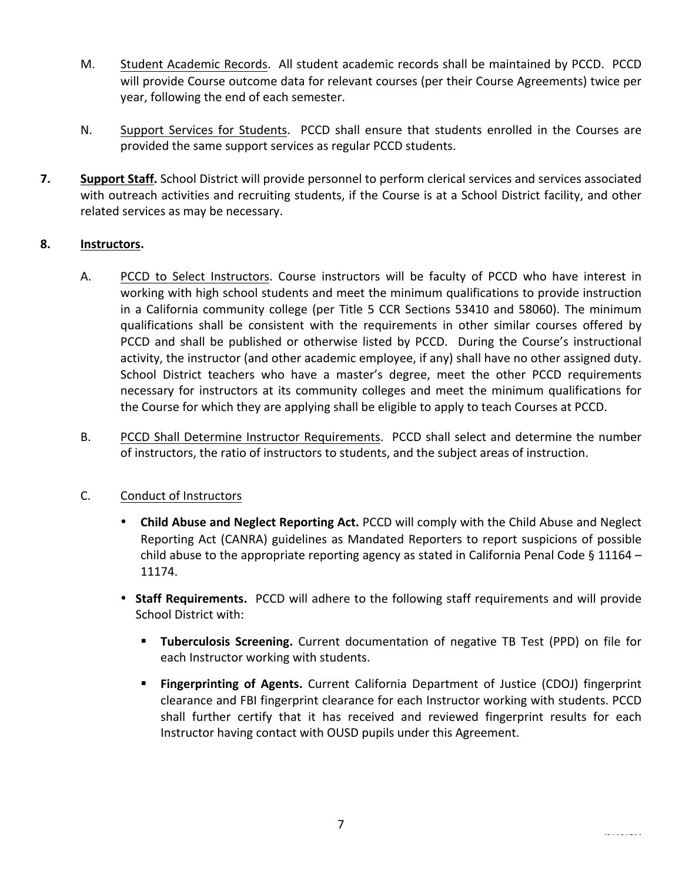- M. Student Academic Records. All student academic records shall be maintained by PCCD. PCCD will provide Course outcome data for relevant courses (per their Course Agreements) twice per year, following the end of each semester.
- N. Support Services for Students. PCCD shall ensure that students enrolled in the Courses are provided the same support services as regular PCCD students.
- **7. Support Staff.** School District will provide personnel to perform clerical services and services associated with outreach activities and recruiting students, if the Course is at a School District facility, and other related services as may be necessary.

# **8. Instructors.**

- A. PCCD to Select Instructors. Course instructors will be faculty of PCCD who have interest in working with high school students and meet the minimum qualifications to provide instruction in a California community college (per Title 5 CCR Sections 53410 and 58060). The minimum qualifications shall be consistent with the requirements in other similar courses offered by PCCD and shall be published or otherwise listed by PCCD. During the Course's instructional activity, the instructor (and other academic employee, if any) shall have no other assigned duty. School District teachers who have a master's degree, meet the other PCCD requirements necessary for instructors at its community colleges and meet the minimum qualifications for the Course for which they are applying shall be eligible to apply to teach Courses at PCCD.
- B. PCCD Shall Determine Instructor Requirements. PCCD shall select and determine the number of instructors, the ratio of instructors to students, and the subject areas of instruction.

# C. Conduct of Instructors

- **Child Abuse and Neglect Reporting Act.** PCCD will comply with the Child Abuse and Neglect Reporting Act (CANRA) guidelines as Mandated Reporters to report suspicions of possible child abuse to the appropriate reporting agency as stated in California Penal Code § 11164 – 11174.
- Staff Requirements. PCCD will adhere to the following staff requirements and will provide School District with:
	- **Tuberculosis Screening.** Current documentation of negative TB Test (PPD) on file for each Instructor working with students.
	- **Fingerprinting of Agents.** Current California Department of Justice (CDOJ) fingerprint clearance and FBI fingerprint clearance for each Instructor working with students. PCCD shall further certify that it has received and reviewed fingerprint results for each Instructor having contact with OUSD pupils under this Agreement.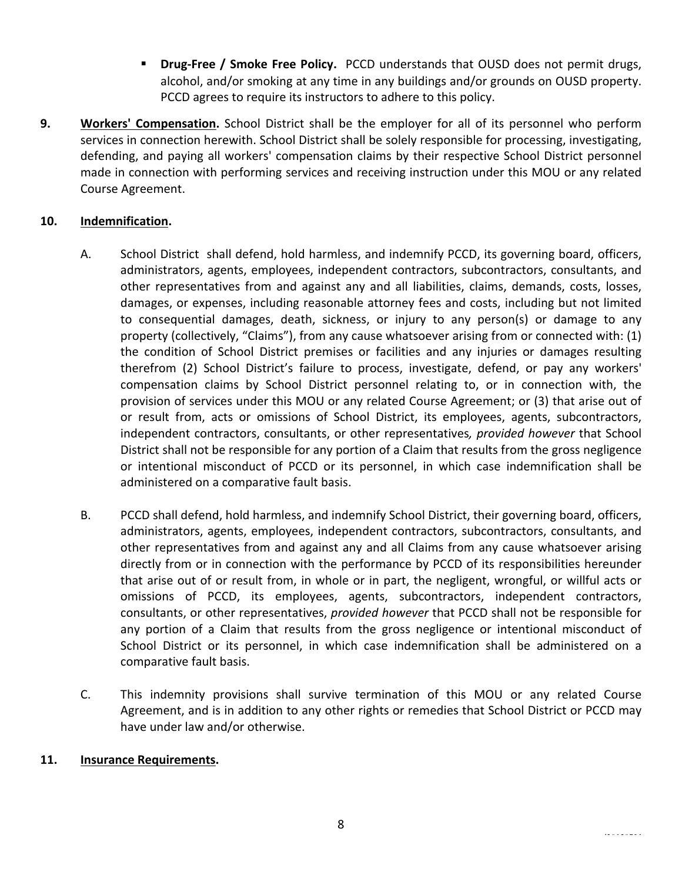- **Drug-Free / Smoke Free Policy.** PCCD understands that OUSD does not permit drugs, alcohol, and/or smoking at any time in any buildings and/or grounds on OUSD property. PCCD agrees to require its instructors to adhere to this policy.
- **9. Workers' Compensation.** School District shall be the employer for all of its personnel who perform services in connection herewith. School District shall be solely responsible for processing, investigating, defending, and paying all workers' compensation claims by their respective School District personnel made in connection with performing services and receiving instruction under this MOU or any related Course Agreement.

# **10. Indemnification.**

- A. School District shall defend, hold harmless, and indemnify PCCD, its governing board, officers, administrators, agents, employees, independent contractors, subcontractors, consultants, and other representatives from and against any and all liabilities, claims, demands, costs, losses, damages, or expenses, including reasonable attorney fees and costs, including but not limited to consequential damages, death, sickness, or injury to any person(s) or damage to any property (collectively, "Claims"), from any cause whatsoever arising from or connected with: (1) the condition of School District premises or facilities and any injuries or damages resulting therefrom (2) School District's failure to process, investigate, defend, or pay any workers' compensation claims by School District personnel relating to, or in connection with, the provision of services under this MOU or any related Course Agreement; or (3) that arise out of or result from, acts or omissions of School District, its employees, agents, subcontractors, independent contractors, consultants, or other representatives, *provided however* that School District shall not be responsible for any portion of a Claim that results from the gross negligence or intentional misconduct of PCCD or its personnel, in which case indemnification shall be administered on a comparative fault basis.
- B. PCCD shall defend, hold harmless, and indemnify School District, their governing board, officers, administrators, agents, employees, independent contractors, subcontractors, consultants, and other representatives from and against any and all Claims from any cause whatsoever arising directly from or in connection with the performance by PCCD of its responsibilities hereunder that arise out of or result from, in whole or in part, the negligent, wrongful, or willful acts or omissions of PCCD, its employees, agents, subcontractors, independent contractors, consultants, or other representatives, *provided however* that PCCD shall not be responsible for any portion of a Claim that results from the gross negligence or intentional misconduct of School District or its personnel, in which case indemnification shall be administered on a comparative fault basis.
- C. This indemnity provisions shall survive termination of this MOU or any related Course Agreement, and is in addition to any other rights or remedies that School District or PCCD may have under law and/or otherwise.

#### 11. **Insurance Requirements.**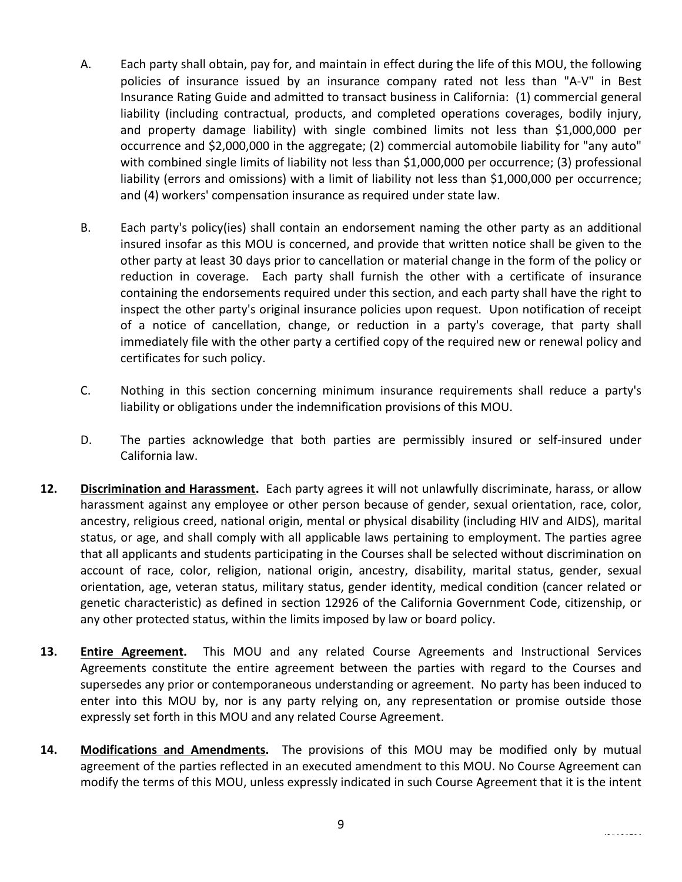- A. Each party shall obtain, pay for, and maintain in effect during the life of this MOU, the following policies of insurance issued by an insurance company rated not less than "A-V" in Best Insurance Rating Guide and admitted to transact business in California: (1) commercial general liability (including contractual, products, and completed operations coverages, bodily injury, and property damage liability) with single combined limits not less than \$1,000,000 per occurrence and \$2,000,000 in the aggregate; (2) commercial automobile liability for "any auto" with combined single limits of liability not less than \$1,000,000 per occurrence; (3) professional liability (errors and omissions) with a limit of liability not less than \$1,000,000 per occurrence; and (4) workers' compensation insurance as required under state law.
- B. Each party's policy(ies) shall contain an endorsement naming the other party as an additional insured insofar as this MOU is concerned, and provide that written notice shall be given to the other party at least 30 days prior to cancellation or material change in the form of the policy or reduction in coverage. Each party shall furnish the other with a certificate of insurance containing the endorsements required under this section, and each party shall have the right to inspect the other party's original insurance policies upon request. Upon notification of receipt of a notice of cancellation, change, or reduction in a party's coverage, that party shall immediately file with the other party a certified copy of the required new or renewal policy and certificates for such policy.
- C. Nothing in this section concerning minimum insurance requirements shall reduce a party's liability or obligations under the indemnification provisions of this MOU.
- D. The parties acknowledge that both parties are permissibly insured or self-insured under California law.
- **12. Discrimination and Harassment.** Each party agrees it will not unlawfully discriminate, harass, or allow harassment against any employee or other person because of gender, sexual orientation, race, color, ancestry, religious creed, national origin, mental or physical disability (including HIV and AIDS), marital status, or age, and shall comply with all applicable laws pertaining to employment. The parties agree that all applicants and students participating in the Courses shall be selected without discrimination on account of race, color, religion, national origin, ancestry, disability, marital status, gender, sexual orientation, age, veteran status, military status, gender identity, medical condition (cancer related or genetic characteristic) as defined in section 12926 of the California Government Code, citizenship, or any other protected status, within the limits imposed by law or board policy.
- **13. Entire Agreement.** This MOU and any related Course Agreements and Instructional Services Agreements constitute the entire agreement between the parties with regard to the Courses and supersedes any prior or contemporaneous understanding or agreement. No party has been induced to enter into this MOU by, nor is any party relying on, any representation or promise outside those expressly set forth in this MOU and any related Course Agreement.
- **14. Modifications and Amendments.** The provisions of this MOU may be modified only by mutual agreement of the parties reflected in an executed amendment to this MOU. No Course Agreement can modify the terms of this MOU, unless expressly indicated in such Course Agreement that it is the intent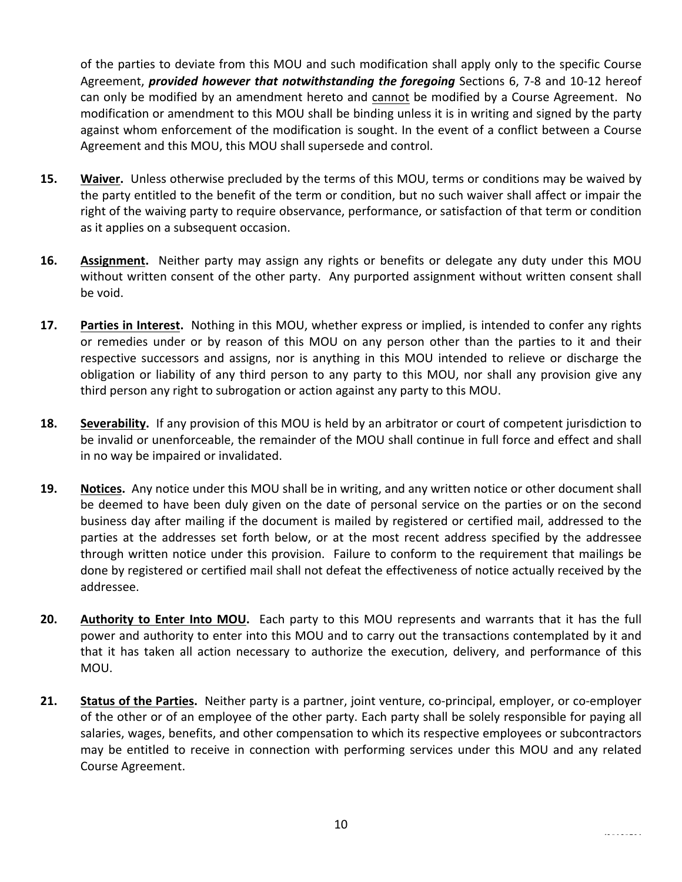of the parties to deviate from this MOU and such modification shall apply only to the specific Course Agreement, *provided however that notwithstanding the foregoing* Sections 6, 7-8 and 10-12 hereof can only be modified by an amendment hereto and cannot be modified by a Course Agreement. No modification or amendment to this MOU shall be binding unless it is in writing and signed by the party against whom enforcement of the modification is sought. In the event of a conflict between a Course Agreement and this MOU, this MOU shall supersede and control.

- **15. Waiver.** Unless otherwise precluded by the terms of this MOU, terms or conditions may be waived by the party entitled to the benefit of the term or condition, but no such waiver shall affect or impair the right of the waiving party to require observance, performance, or satisfaction of that term or condition as it applies on a subsequent occasion.
- **16. Assignment.** Neither party may assign any rights or benefits or delegate any duty under this MOU without written consent of the other party. Any purported assignment without written consent shall be void.
- **17. Parties in Interest.** Nothing in this MOU, whether express or implied, is intended to confer any rights or remedies under or by reason of this MOU on any person other than the parties to it and their respective successors and assigns, nor is anything in this MOU intended to relieve or discharge the obligation or liability of any third person to any party to this MOU, nor shall any provision give any third person any right to subrogation or action against any party to this MOU.
- **18. Severability.** If any provision of this MOU is held by an arbitrator or court of competent jurisdiction to be invalid or unenforceable, the remainder of the MOU shall continue in full force and effect and shall in no way be impaired or invalidated.
- **19. Notices.** Any notice under this MOU shall be in writing, and any written notice or other document shall be deemed to have been duly given on the date of personal service on the parties or on the second business day after mailing if the document is mailed by registered or certified mail, addressed to the parties at the addresses set forth below, or at the most recent address specified by the addressee through written notice under this provision. Failure to conform to the requirement that mailings be done by registered or certified mail shall not defeat the effectiveness of notice actually received by the addressee.
- **20.** Authority to Enter Into MOU. Each party to this MOU represents and warrants that it has the full power and authority to enter into this MOU and to carry out the transactions contemplated by it and that it has taken all action necessary to authorize the execution, delivery, and performance of this MOU.
- **21.** Status of the Parties. Neither party is a partner, joint venture, co-principal, employer, or co-employer of the other or of an employee of the other party. Each party shall be solely responsible for paying all salaries, wages, benefits, and other compensation to which its respective employees or subcontractors may be entitled to receive in connection with performing services under this MOU and any related Course Agreement.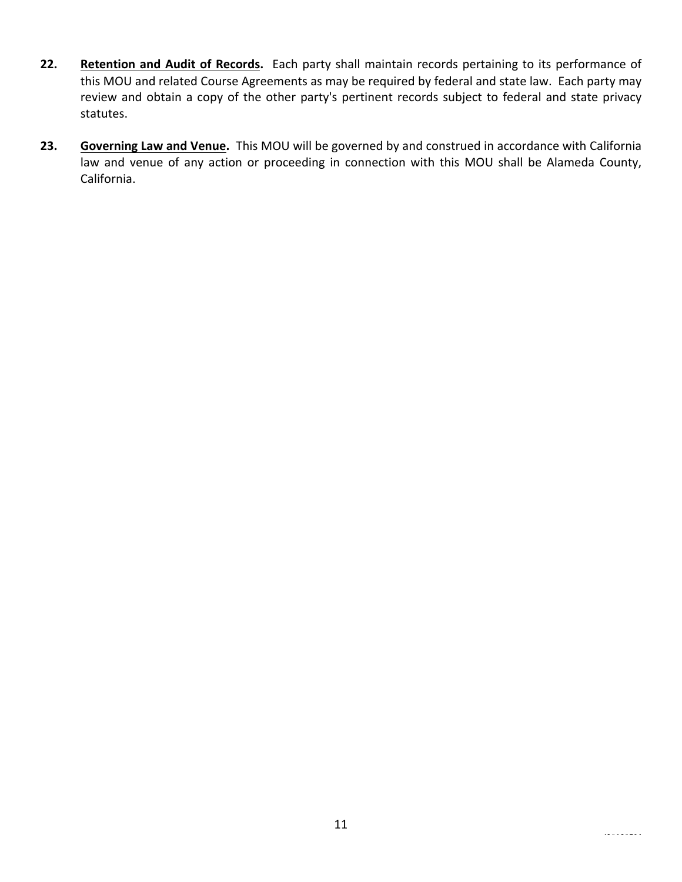- **22.** Retention and Audit of Records. Each party shall maintain records pertaining to its performance of this MOU and related Course Agreements as may be required by federal and state law. Each party may review and obtain a copy of the other party's pertinent records subject to federal and state privacy statutes.
- **23.** Governing Law and Venue. This MOU will be governed by and construed in accordance with California law and venue of any action or proceeding in connection with this MOU shall be Alameda County, California.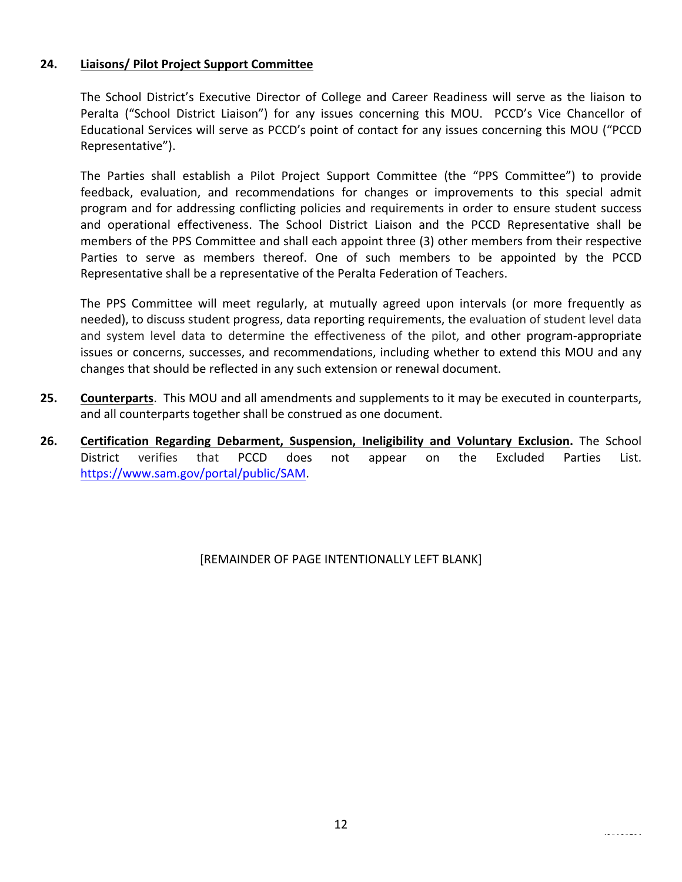### **24. Liaisons/ Pilot Project Support Committee**

The School District's Executive Director of College and Career Readiness will serve as the liaison to Peralta ("School District Liaison") for any issues concerning this MOU. PCCD's Vice Chancellor of Educational Services will serve as PCCD's point of contact for any issues concerning this MOU ("PCCD Representative").

The Parties shall establish a Pilot Project Support Committee (the "PPS Committee") to provide feedback, evaluation, and recommendations for changes or improvements to this special admit program and for addressing conflicting policies and requirements in order to ensure student success and operational effectiveness. The School District Liaison and the PCCD Representative shall be members of the PPS Committee and shall each appoint three (3) other members from their respective Parties to serve as members thereof. One of such members to be appointed by the PCCD Representative shall be a representative of the Peralta Federation of Teachers.

The PPS Committee will meet regularly, at mutually agreed upon intervals (or more frequently as needed), to discuss student progress, data reporting requirements, the evaluation of student level data and system level data to determine the effectiveness of the pilot, and other program-appropriate issues or concerns, successes, and recommendations, including whether to extend this MOU and any changes that should be reflected in any such extension or renewal document.

- **25. Counterparts**. This MOU and all amendments and supplements to it may be executed in counterparts, and all counterparts together shall be construed as one document.
- 26. **Certification Regarding Debarment, Suspension, Ineligibility and Voluntary Exclusion. The School** District verifies that PCCD does not appear on the Excluded Parties List. https://www.sam.gov/portal/public/SAM.

# [REMAINDER OF PAGE INTENTIONALLY LEFT BLANK]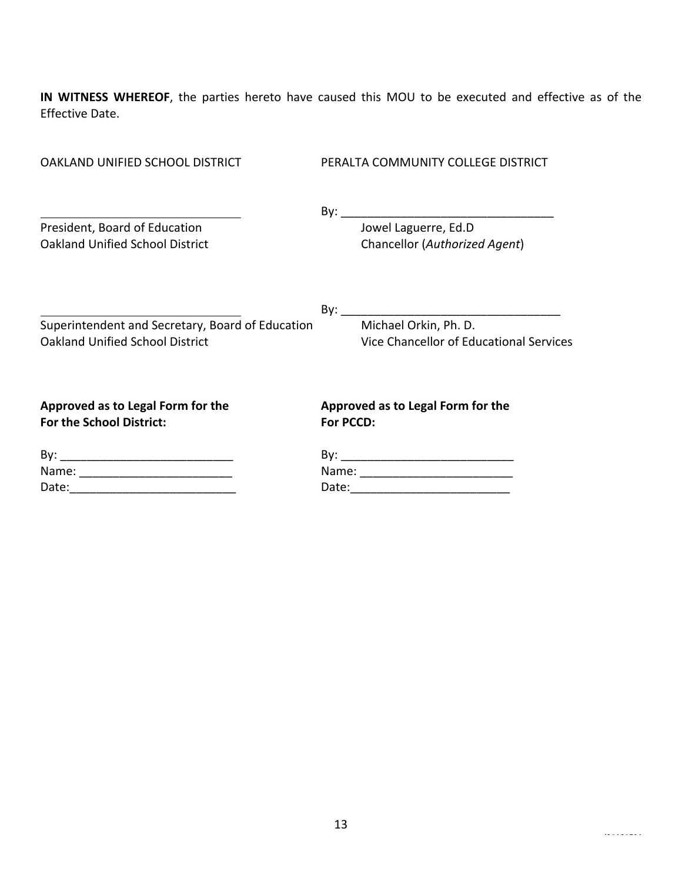**IN WITNESS WHEREOF**, the parties hereto have caused this MOU to be executed and effective as of the Effective Date.

| OAKLAND UNIFIED SCHOOL DISTRICT                                                            | PERALTA COMMUNITY COLLEGE DISTRICT                                                                             |  |  |  |
|--------------------------------------------------------------------------------------------|----------------------------------------------------------------------------------------------------------------|--|--|--|
| President, Board of Education<br><b>Oakland Unified School District</b>                    | Jowel Laguerre, Ed.D<br>Chancellor (Authorized Agent)                                                          |  |  |  |
| Superintendent and Secretary, Board of Education<br><b>Oakland Unified School District</b> | Michael Orkin, Ph. D.<br>Vice Chancellor of Educational Services                                               |  |  |  |
| Approved as to Legal Form for the<br>For the School District:                              | Approved as to Legal Form for the<br>For PCCD:                                                                 |  |  |  |
|                                                                                            |                                                                                                                |  |  |  |
| Name: _____________________________                                                        |                                                                                                                |  |  |  |
| Date:                                                                                      | Date: 2008 2010 2021 2022 2023 2024 2022 2022 2023 2024 2022 2023 2024 2022 2023 2024 2025 2026 2027 2028 2021 |  |  |  |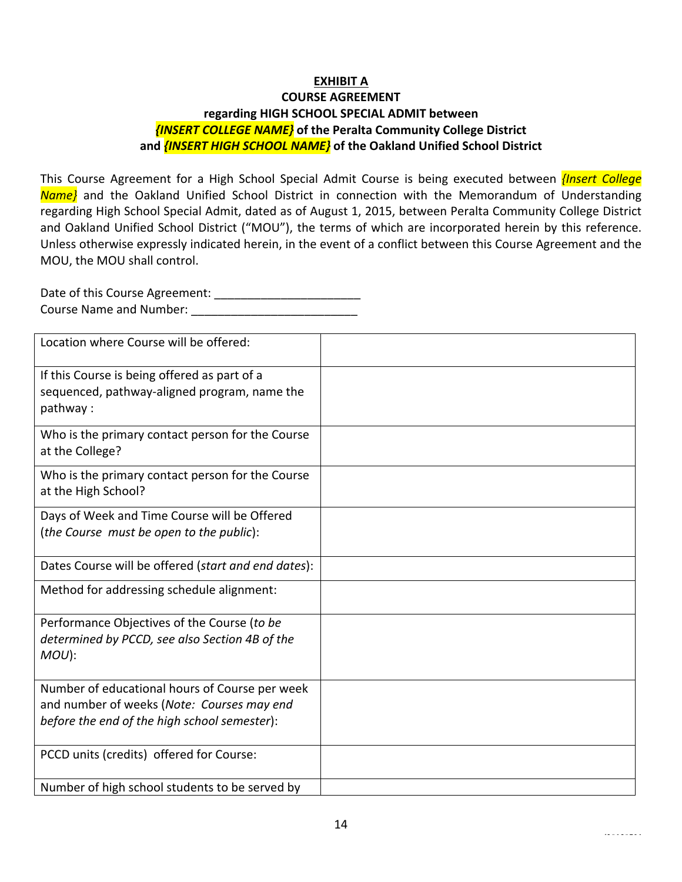# **EXHIBIT A**

# **COURSE AGREEMENT regarding HIGH SCHOOL SPECIAL ADMIT between** *{INSERT COLLEGE NAME}* **of the Peralta Community College District and <u></u>***{INSERT HIGH SCHOOL NAME}* of the Oakland Unified School District

This Course Agreement for a High School Special Admit Course is being executed between *{Insert College Name*} and the Oakland Unified School District in connection with the Memorandum of Understanding regarding High School Special Admit, dated as of August 1, 2015, between Peralta Community College District and Oakland Unified School District ("MOU"), the terms of which are incorporated herein by this reference. Unless otherwise expressly indicated herein, in the event of a conflict between this Course Agreement and the MOU, the MOU shall control.

Date of this Course Agreement: \_\_\_\_\_\_\_\_\_\_\_\_\_\_\_\_\_\_\_\_\_\_ Course Name and Number: \_\_\_\_\_\_\_\_\_\_\_\_\_\_\_\_\_\_\_\_\_\_\_\_\_ 

| Location where Course will be offered:              |  |
|-----------------------------------------------------|--|
| If this Course is being offered as part of a        |  |
| sequenced, pathway-aligned program, name the        |  |
| pathway:                                            |  |
| Who is the primary contact person for the Course    |  |
| at the College?                                     |  |
| Who is the primary contact person for the Course    |  |
| at the High School?                                 |  |
| Days of Week and Time Course will be Offered        |  |
| (the Course must be open to the public):            |  |
| Dates Course will be offered (start and end dates): |  |
|                                                     |  |
| Method for addressing schedule alignment:           |  |
| Performance Objectives of the Course (to be         |  |
| determined by PCCD, see also Section 4B of the      |  |
| $MOU$ ):                                            |  |
| Number of educational hours of Course per week      |  |
| and number of weeks (Note: Courses may end          |  |
| before the end of the high school semester):        |  |
| PCCD units (credits) offered for Course:            |  |
|                                                     |  |
| Number of high school students to be served by      |  |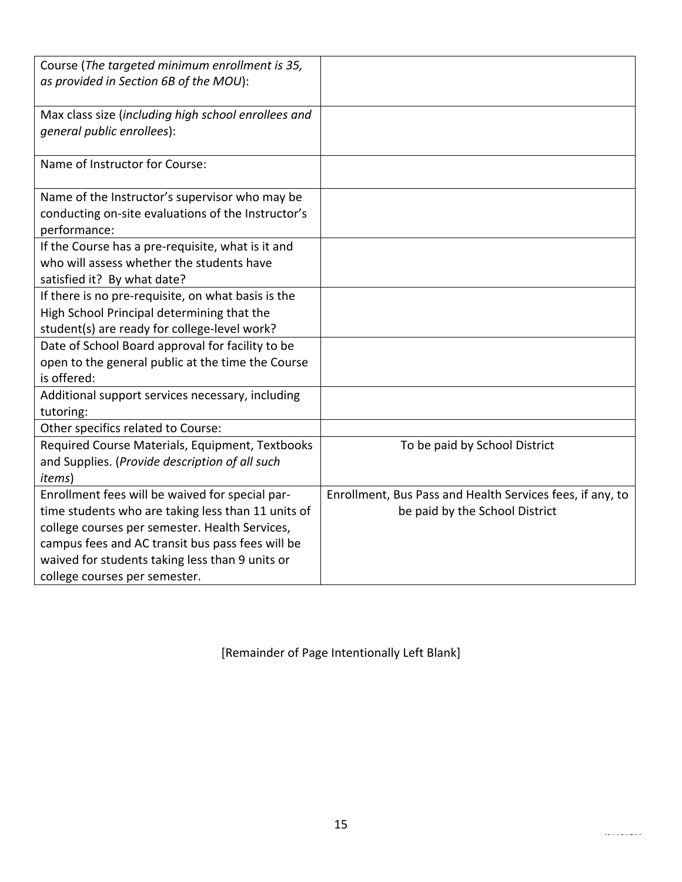| Course (The targeted minimum enrollment is 35,<br>as provided in Section 6B of the MOU): |                                                           |
|------------------------------------------------------------------------------------------|-----------------------------------------------------------|
|                                                                                          |                                                           |
| Max class size (including high school enrollees and                                      |                                                           |
| general public enrollees):                                                               |                                                           |
|                                                                                          |                                                           |
| Name of Instructor for Course:                                                           |                                                           |
| Name of the Instructor's supervisor who may be                                           |                                                           |
| conducting on-site evaluations of the Instructor's                                       |                                                           |
| performance:                                                                             |                                                           |
| If the Course has a pre-requisite, what is it and                                        |                                                           |
| who will assess whether the students have                                                |                                                           |
| satisfied it? By what date?                                                              |                                                           |
| If there is no pre-requisite, on what basis is the                                       |                                                           |
| High School Principal determining that the                                               |                                                           |
| student(s) are ready for college-level work?                                             |                                                           |
| Date of School Board approval for facility to be                                         |                                                           |
| open to the general public at the time the Course                                        |                                                           |
| is offered:                                                                              |                                                           |
| Additional support services necessary, including                                         |                                                           |
| tutoring:                                                                                |                                                           |
| Other specifics related to Course:                                                       |                                                           |
| Required Course Materials, Equipment, Textbooks                                          | To be paid by School District                             |
| and Supplies. (Provide description of all such                                           |                                                           |
| <i>items</i> )                                                                           |                                                           |
| Enrollment fees will be waived for special par-                                          | Enrollment, Bus Pass and Health Services fees, if any, to |
| time students who are taking less than 11 units of                                       | be paid by the School District                            |
| college courses per semester. Health Services,                                           |                                                           |
| campus fees and AC transit bus pass fees will be                                         |                                                           |
| waived for students taking less than 9 units or                                          |                                                           |
| college courses per semester.                                                            |                                                           |

[Remainder of Page Intentionally Left Blank]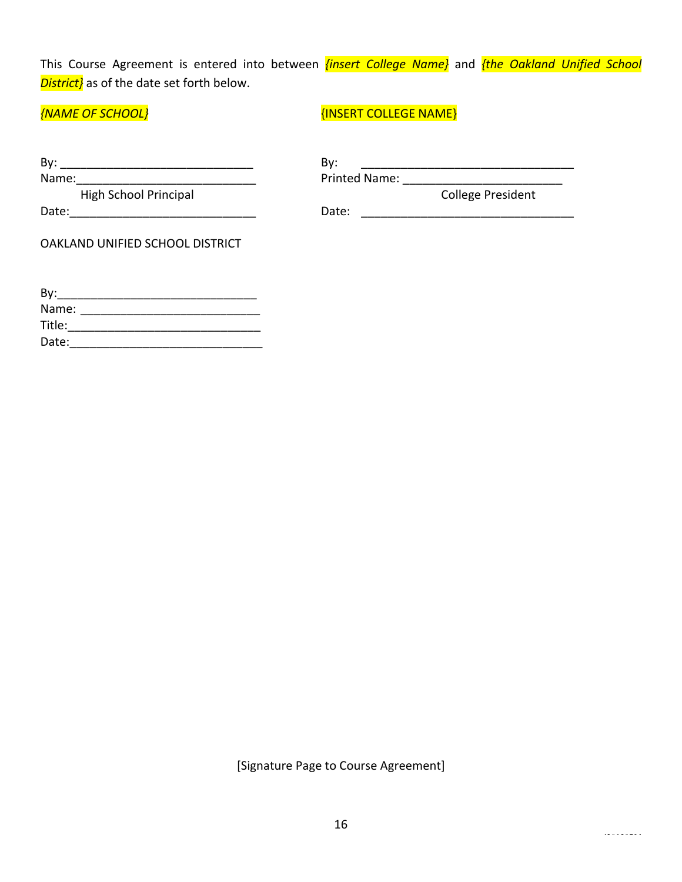This Course Agreement is entered into between *{insert College Name}* and *{the Oakland Unified School* **District}** as of the date set forth below.

*{NAME OF SCHOOL}* and the set of the set of the set of the set of the set of the set of the set of the set of the set of the set of the set of the set of the set of the set of the set of the set of the set of the set of t

| By:                             | By:                      |
|---------------------------------|--------------------------|
| Name:                           | Printed Name:            |
| High School Principal           | <b>College President</b> |
| Date:                           | Date:                    |
| OAKLAND UNIFIED SCHOOL DISTRICT |                          |
| By:                             |                          |

| Name:  |  |  |  |
|--------|--|--|--|
| Title: |  |  |  |
| Date:  |  |  |  |

[Signature Page to Course Agreement]